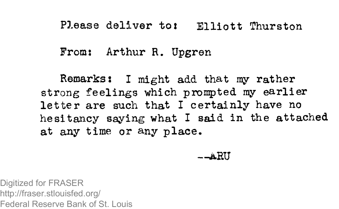## Please deliver to: Elliott Thurston

From: Arthur R. Upgren

Remarks: I might add that my rather strong feelings which prompted my earlier letter are such that I certainly have no hesitancy saying what I said in the attached at any time or any place.

—ABU

Digitized for FRASER http://fraser.stlouisfed.org/ Federal Reserve Bank of St. Louis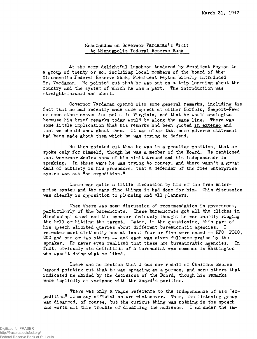Memorandum on Governor Vardaman's Visit to Minneapolis Federal Reserve Bank

At the very delightful luncheon tendered by President Peyton to a group of twenty or so, including local members of the board of the Minneapolis Federal Reserve Bank, President Peyton briefly introduced Mr. Vardaman. He pointed out that he was out on a trip learning about the country and the system of which he was a part. The introduction was straight-forward and short.

Governor Vardaman opened with some general remarks, including the fact that he had recently made some speech at either Norfolk, Newport-News or some other convention point in Virginia, and that he would apologize because his brief remarks today would be along the same line. There was some little implication that his remarks had been quoted in extenso and that we should know about them. It was clear that some adverse statement had been made about them which he was trying to defend.

He then pointed out that he was in a peculiar position, that he spoke only for himself, though he was a member of the Board. He mentioned that Governor Eccles knew of his visit around and his independence in speaking. In these ways he was trying to convey, and there wasn't a great deal of subtlety in his procedure, that a defender of the free enterprise system was out "on expedition."

There was quite a little discussion by him of the free enterprise system and the many fine things it had done for him. This discussion was clearly in opposition to planning and all planners.

Then there was some discussion of recommendation in government, particularly of the bureaucrats. These bureaucrats got all the cliches in Mississippi drawl and the speaker obviously thought he was rapidly ringing the bell or hitting the target. Later, in the questioning, this part of his speech elicited queries about different bureaucratic agencies. I remember most distinctly how at least four or five were named -- RFC, FDIC, CCC and one or two others — and each was given fullsome praise by the speaker. He never even realized that these are bureaucratic agencies. In fact, obviously his definition of a bureaucrat was someone in Washington who wasn't doing what he liked.

There was no mention that I can now recall of Chairman Eccles beyond pointing out that he was speaking as a person, and some others that indicated he abided by the decisions of the Board, though his remarks were impliedly at variance with the Board's position.

There was only a vague reference to the independence of his "expedition" from any official nature whatsoever. Thus, the listening group was disarmed, of course, but the curious thing was nothing in the speech was worth all this trouble of disarming the audience. I am under the im